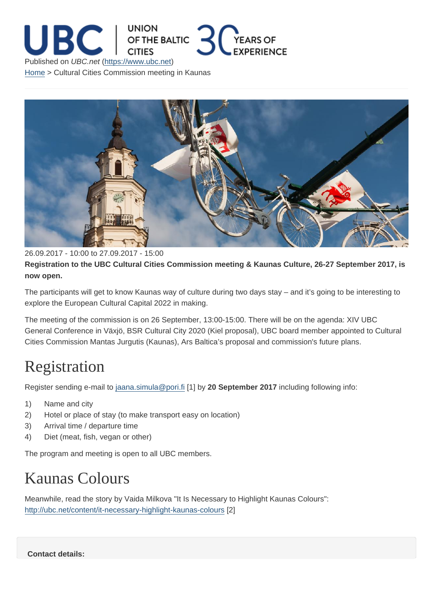26.09.2017 - 10:00 to 27.09.2017 - 15:00

Registration to the UBC Cultural Cities Commission meeting & Kaunas Culture, 26-27 September 2017, is now open.

The participants will get to know Kaunas way of culture during two days stay – and it's going to be interesting to explore the European Cultural Capital 2022 in making.

The meeting of the commission is on 26 September, 13:00-15:00. There will be on the agenda: XIV UBC General Conference in Växjö, BSR Cultural City 2020 (Kiel proposal), UBC board member appointed to Cultural Cities Commission Mantas Jurgutis (Kaunas), Ars Baltica's proposal and commission's future plans.

## **Registration**

Register sending e-mail to jaana.simula@pori.fi [1] by 20 September 2017 including following info:

- 1) Name and city
- 2) Hotel or place of sta[y \(to make transport e](mailto:jaana.simula@pori.fi)asy on location)
- 3) Arrival time / departure time
- 4) Diet (meat, fish, vegan or other)

The program and meeting is open to all UBC members.

## Kaunas Colours

Meanwhile, read the story by Vaida Milkova "It Is Necessary to Highlight Kaunas Colours": http://ubc.net/content/it-necessary-highlight-kaunas-colours [2]

Contact details: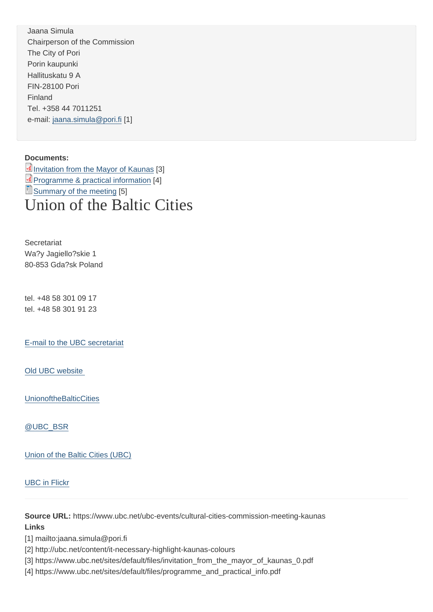Chairperson of the Commission The City of Pori Porin kaupunki Hallituskatu 9 A FIN-28100 Pori Finland Tel. +358 44 7011251 e-mail: jaana.simula@pori.fi [1]

Docum[ents:](mailto:jaana.simula@pori.fi) 

Invitation from the Mayor of Kaunas [3] Programme & practical information [4] Summary of the meeting [5] [Union of the Baltic](https://www.ubc.net/sites/default/files/invitation_from_the_mayor_of_kaunas_0.pdf) Cities

**Secretariat** Wa?y Jagiello?skie 1 80-853 Gda?sk Poland

tel. +48 58 301 09 17 tel. +48 58 301 91 23

E-mail to the UBC secretariat

[Old UBC website](mailto:info@ubc.net) 

**[UnionoftheBalticC](http://archive.ubc.net)ities** 

[@UBC\\_BSR](https://www.facebook.com/UnionoftheBalticCities)

[Union of the B](https://twitter.com/UBC_BSR)altic Cities (UBC)

[UBC in Flickr](https://www.linkedin.com/company-beta/1361849/)

[Source URL:](https://www.flickr.com/photos/140292678@N08) https://www.ubc.net/ubc-events/cultural-cities-commission-meeting-kaunas Links

[1] mailto:jaana.simula@pori.fi

[2] http://ubc.net/content/it-necessary-highlight-kaunas-colours

[3] https://www.ubc.net/sites/default/files/invitation\_from\_the\_mayor\_of\_kaunas\_0.pdf

[4] https://www.ubc.net/sites/default/files/programme\_and\_practical\_info.pdf